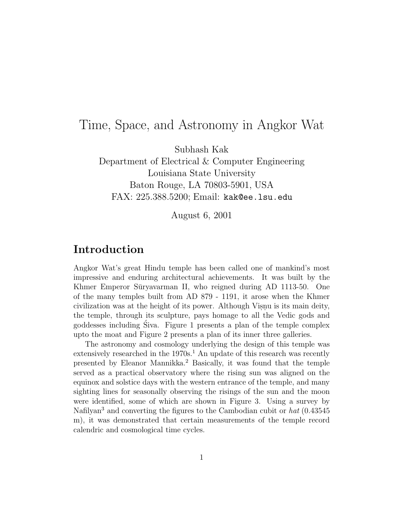# Time, Space, and Astronomy in Angkor Wat

Subhash Kak

Department of Electrical & Computer Engineering Louisiana State University Baton Rouge, LA 70803-5901, USA FAX: 225.388.5200; Email: kak@ee.lsu.edu

August 6, 2001

## **Introduction**

Angkor Wat's great Hindu temple has been called one of mankind's most impressive and enduring architectural achievements. It was built by the Khmer Emperor Sūryavarman II, who reigned during AD 1113-50. One of the many temples built from AD 879 - 1191, it arose when the Khmer civilization was at the height of its power. Although Visnu is its main deity, the temple, through its sculpture, pays homage to all the Vedic gods and goddesses including Siva. Figure 1 presents a plan of the temple complex ´ upto the moat and Figure 2 presents a plan of its inner three galleries.

The astronomy and cosmology underlying the design of this temple was extensively researched in the  $1970s<sup>1</sup>$ . An update of this research was recently presented by Eleanor Mannikka.<sup>2</sup> Basically, it was found that the temple served as a practical observatory where the rising sun was aligned on the equinox and solstice days with the western entrance of the temple, and many sighting lines for seasonally observing the risings of the sun and the moon were identified, some of which are shown in Figure 3. Using a survey by Nafilyan<sup>3</sup> and converting the figures to the Cambodian cubit or  $hat(0.43545)$ m), it was demonstrated that certain measurements of the temple record calendric and cosmological time cycles.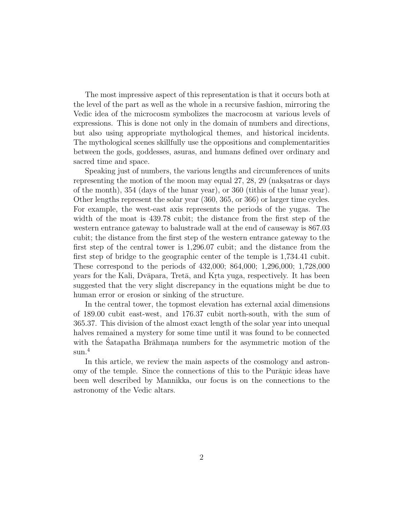The most impressive aspect of this representation is that it occurs both at the level of the part as well as the whole in a recursive fashion, mirroring the Vedic idea of the microcosm symbolizes the macrocosm at various levels of expressions. This is done not only in the domain of numbers and directions, but also using appropriate mythological themes, and historical incidents. The mythological scenes skillfully use the oppositions and complementarities between the gods, goddesses, asuras, and humans defined over ordinary and sacred time and space.

Speaking just of numbers, the various lengths and circumferences of units representing the motion of the moon may equal 27, 28, 29 (naksatras or days of the month), 354 (days of the lunar year), or 360 (tithis of the lunar year). Other lengths represent the solar year (360, 365, or 366) or larger time cycles. For example, the west-east axis represents the periods of the yugas. The width of the moat is 439.78 cubit; the distance from the first step of the western entrance gateway to balustrade wall at the end of causeway is 867.03 cubit; the distance from the first step of the western entrance gateway to the first step of the central tower is 1,296.07 cubit; and the distance from the first step of bridge to the geographic center of the temple is 1,734.41 cubit. These correspond to the periods of 432,000; 864,000; 1,296,000; 1,728,000 years for the Kali, Dvāpara, Tretā, and Krta yuga, respectively. It has been suggested that the very slight discrepancy in the equations might be due to human error or erosion or sinking of the structure.

In the central tower, the topmost elevation has external axial dimensions of 189.00 cubit east-west, and 176.37 cubit north-south, with the sum of 365.37. This division of the almost exact length of the solar year into unequal halves remained a mystery for some time until it was found to be connected with the Satapatha Brāhman. numbers for the asymmetric motion of the sun.<sup>4</sup>

In this article, we review the main aspects of the cosmology and astronomy of the temple. Since the connections of this to the Puranic ideas have been well described by Mannikka, our focus is on the connections to the astronomy of the Vedic altars.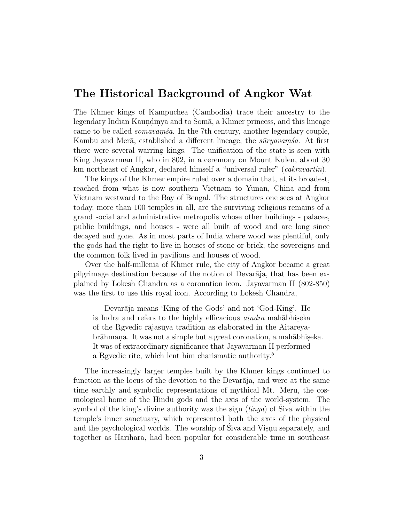#### **The Historical Background of Angkor Wat**

The Khmer kings of Kampuchea (Cambodia) trace their ancestry to the legendary Indian Kaundinya and to Somā, a Khmer princess, and this lineage came to be called *somavam'sa*. In the 7th century, another legendary couple, Kambu and Mer $\bar{a}$ , established a different lineage, the  $\bar{s}u$ ryavamsa. At first there were several warring kings. The unification of the state is seen with King Jayavarman II, who in 802, in a ceremony on Mount Kulen, about 30 km northeast of Angkor, declared himself a "universal ruler" (*cakravartin*).

The kings of the Khmer empire ruled over a domain that, at its broadest, reached from what is now southern Vietnam to Yunan, China and from Vietnam westward to the Bay of Bengal. The structures one sees at Angkor today, more than 100 temples in all, are the surviving religious remains of a grand social and administrative metropolis whose other buildings - palaces, public buildings, and houses - were all built of wood and are long since decayed and gone. As in most parts of India where wood was plentiful, only the gods had the right to live in houses of stone or brick; the sovereigns and the common folk lived in pavilions and houses of wood.

Over the half-millenia of Khmer rule, the city of Angkor became a great pilgrimage destination because of the notion of Devar $\bar{a}$ ja, that has been explained by Lokesh Chandra as a coronation icon. Jayavarman II (802-850) was the first to use this royal icon. According to Lokesh Chandra,

Devarāja means 'King of the Gods' and not 'God-King'. He is Indra and refers to the highly efficacious *aindra* mahābhiseka of the Regular rajasūya tradition as elaborated in the Aitareyabrāhmana. It was not a simple but a great coronation, a mahābhiseka. It was of extraordinary significance that Jayavarman II performed a Rgvedic rite, which lent him charismatic authority.<sup>5</sup>

The increasingly larger temples built by the Khmer kings continued to function as the locus of the devotion to the Devarāja, and were at the same time earthly and symbolic representations of mythical Mt. Meru, the cosmological home of the Hindu gods and the axis of the world-system. The symbol of the king's divine authority was the sign  $(linga)$  of Siva within the temple's inner sanctuary, which represented both the axes of the physical and the psychological worlds. The worship of Siva and Visnu separately, and together as Harihara, had been popular for considerable time in southeast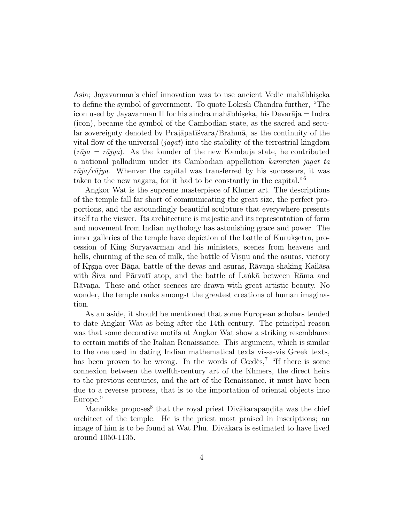Asia; Jayavarman's chief innovation was to use ancient Vedic mahābhiseka to define the symbol of government. To quote Lokesh Chandra further, "The icon used by Jayavarman II for his aindra mahābhiseka, his Devarāja  $=$  Indra (icon), became the symbol of the Cambodian state, as the sacred and secular sovereignty denoted by Praj $\bar{a}$ pat $\bar{a}$ <sup>svara</sup>/Brahm $\bar{a}$ , as the continuity of the vital flow of the universal  $(iqqat)$  into the stability of the terrestrial kingdom  $(r\bar{a}ja = r\bar{a}jya)$ . As the founder of the new Kambuja state, he contributed a national palladium under its Cambodian appellation kamraten jagat ta  $r\bar{a}ja/r\bar{a}jya$ . Whenver the capital was transferred by his successors, it was taken to the new nagara, for it had to be constantly in the capital."<sup>6</sup>

Angkor Wat is the supreme masterpiece of Khmer art. The descriptions of the temple fall far short of communicating the great size, the perfect proportions, and the astoundingly beautiful sculpture that everywhere presents itself to the viewer. Its architecture is majestic and its representation of form and movement from Indian mythology has astonishing grace and power. The inner galleries of the temple have depiction of the battle of Kuruks.etra, procession of King Sūryavarman and his ministers, scenes from heavens and hells, churning of the sea of milk, the battle of Visnu and the asuras, victory of Kr.s.n. over Bāna, battle of the devas and asuras, Rāvana shaking Kailāsa with Siva and Pārvatī atop, and the battle of Lankā between Rāma and Rāvana. These and other scences are drawn with great artistic beauty. No wonder, the temple ranks amongst the greatest creations of human imagination.

As an aside, it should be mentioned that some European scholars tended to date Angkor Wat as being after the 14th century. The principal reason was that some decorative motifs at Angkor Wat show a striking resemblance to certain motifs of the Italian Renaissance. This argument, which is similar to the one used in dating Indian mathematical texts vis-a-vis Greek texts, has been proven to be wrong. In the words of  $C$ œdès,<sup>7</sup> "If there is some connexion between the twelfth-century art of the Khmers, the direct heirs to the previous centuries, and the art of the Renaissance, it must have been due to a reverse process, that is to the importation of oriental objects into Europe."

Mannikka proposes<sup>8</sup> that the royal priest Divakarapandita was the chief architect of the temple. He is the priest most praised in inscriptions; an image of him is to be found at Wat Phu. Div $\bar{a}$ kara is estimated to have lived around 1050-1135.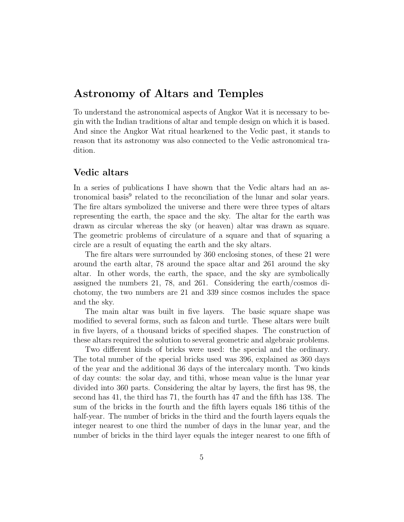### **Astronomy of Altars and Temples**

To understand the astronomical aspects of Angkor Wat it is necessary to begin with the Indian traditions of altar and temple design on which it is based. And since the Angkor Wat ritual hearkened to the Vedic past, it stands to reason that its astronomy was also connected to the Vedic astronomical tradition.

#### **Vedic altars**

In a series of publications I have shown that the Vedic altars had an astronomical basis<sup>9</sup> related to the reconciliation of the lunar and solar years. The fire altars symbolized the universe and there were three types of altars representing the earth, the space and the sky. The altar for the earth was drawn as circular whereas the sky (or heaven) altar was drawn as square. The geometric problems of circulature of a square and that of squaring a circle are a result of equating the earth and the sky altars.

The fire altars were surrounded by 360 enclosing stones, of these 21 were around the earth altar, 78 around the space altar and 261 around the sky altar. In other words, the earth, the space, and the sky are symbolically assigned the numbers 21, 78, and 261. Considering the earth/cosmos dichotomy, the two numbers are 21 and 339 since cosmos includes the space and the sky.

The main altar was built in five layers. The basic square shape was modified to several forms, such as falcon and turtle. These altars were built in five layers, of a thousand bricks of specified shapes. The construction of these altars required the solution to several geometric and algebraic problems.

Two different kinds of bricks were used: the special and the ordinary. The total number of the special bricks used was 396, explained as 360 days of the year and the additional 36 days of the intercalary month. Two kinds of day counts: the solar day, and tithi, whose mean value is the lunar year divided into 360 parts. Considering the altar by layers, the first has 98, the second has 41, the third has 71, the fourth has 47 and the fifth has 138. The sum of the bricks in the fourth and the fifth layers equals 186 tithis of the half-year. The number of bricks in the third and the fourth layers equals the integer nearest to one third the number of days in the lunar year, and the number of bricks in the third layer equals the integer nearest to one fifth of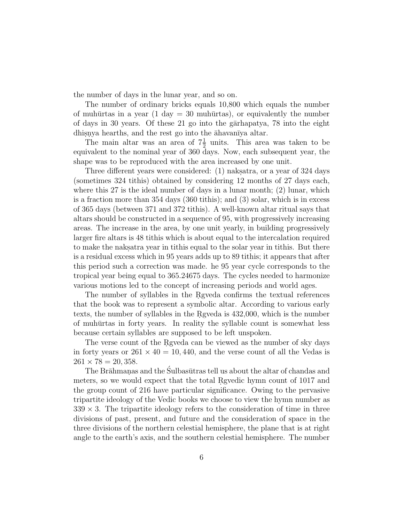the number of days in the lunar year, and so on.

The number of ordinary bricks equals 10,800 which equals the number of muhūrtas in a year (1 day  $=$  30 muhūrtas), or equivalently the number of days in 30 years. Of these 21 go into the garaapatya, 78 into the eight dhisnya hearths, and the rest go into the  $\bar{a}$ havanīya altar.

The main altar was an area of  $7\frac{1}{2}$  units. This area was taken to be equivalent to the nominal year of 360 days. Now, each subsequent year, the shape was to be reproduced with the area increased by one unit.

Three different years were considered: (1) naksatra, or a year of 324 days (sometimes 324 tithis) obtained by considering 12 months of 27 days each, where this 27 is the ideal number of days in a lunar month; (2) lunar, which is a fraction more than 354 days (360 tithis); and (3) solar, which is in excess of 365 days (between 371 and 372 tithis). A well-known altar ritual says that altars should be constructed in a sequence of 95, with progressively increasing areas. The increase in the area, by one unit yearly, in building progressively larger fire altars is 48 tithis which is about equal to the intercalation required to make the naks atracted year in tithis equal to the solar year in tithis. But there is a residual excess which in 95 years adds up to 89 tithis; it appears that after this period such a correction was made. he 95 year cycle corresponds to the tropical year being equal to 365.24675 days. The cycles needed to harmonize various motions led to the concept of increasing periods and world ages.

The number of syllables in the Rgyeda confirms the textual references that the book was to represent a symbolic altar. According to various early texts, the number of syllables in the Rgveda is 432,000, which is the number of muhūrtas in forty years. In reality the syllable count is somewhat less because certain syllables are supposed to be left unspoken.

The verse count of the Rgveda can be viewed as the number of sky days in forty years or  $261 \times 40 = 10,440$ , and the verse count of all the Vedas is  $261 \times 78 = 20,358.$ 

The Brāhmanas and the Sulbasūtras tell us about the altar of chandas and meters, so we would expect that the total Revedic hymn count of 1017 and the group count of 216 have particular significance. Owing to the pervasive tripartite ideology of the Vedic books we choose to view the hymn number as  $339 \times 3$ . The tripartite ideology refers to the consideration of time in three divisions of past, present, and future and the consideration of space in the three divisions of the northern celestial hemisphere, the plane that is at right angle to the earth's axis, and the southern celestial hemisphere. The number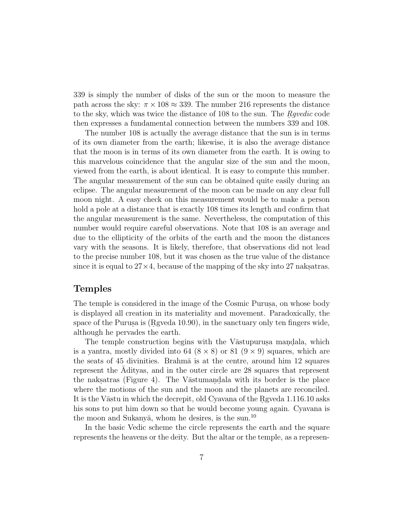339 is simply the number of disks of the sun or the moon to measure the path across the sky:  $\pi \times 108 \approx 339$ . The number 216 represents the distance to the sky, which was twice the distance of 108 to the sun. The  $R \cdot \text{guedic code}$ then expresses a fundamental connection between the numbers 339 and 108.

The number 108 is actually the average distance that the sun is in terms of its own diameter from the earth; likewise, it is also the average distance that the moon is in terms of its own diameter from the earth. It is owing to this marvelous coincidence that the angular size of the sun and the moon, viewed from the earth, is about identical. It is easy to compute this number. The angular measurement of the sun can be obtained quite easily during an eclipse. The angular measurement of the moon can be made on any clear full moon night. A easy check on this measurement would be to make a person hold a pole at a distance that is exactly 108 times its length and confirm that the angular measurement is the same. Nevertheless, the computation of this number would require careful observations. Note that 108 is an average and due to the ellipticity of the orbits of the earth and the moon the distances vary with the seasons. It is likely, therefore, that observations did not lead to the precise number 108, but it was chosen as the true value of the distance since it is equal to  $27 \times 4$ , because of the mapping of the sky into 27 naks atras.

#### **Temples**

The temple is considered in the image of the Cosmic Purusa, on whose body is displayed all creation in its materiality and movement. Paradoxically, the space of the Purusa is  $(Rgveda 10.90)$ , in the sanctuary only ten fingers wide, although he pervades the earth.

The temple construction begins with the V $\bar{a}$ stupurus. mandala, which is a yantra, mostly divided into  $64$   $(8 \times 8)$  or  $81$   $(9 \times 9)$  squares, which are the seats of 45 divinities. Brahma is at the centre, around him 12 squares represent the Adityas, and in the outer circle are 28 squares that represent the naksatras (Figure 4). The V $\bar{a}$ stumandala with its border is the place where the motions of the sun and the moon and the planets are reconciled. It is the Vāstu in which the decrepit, old Cyavana of the Reveda 1.116.10 asks his sons to put him down so that he would become young again. Cyavana is the moon and Sukanya, whom he desires, is the sun.<sup>10</sup>

In the basic Vedic scheme the circle represents the earth and the square represents the heavens or the deity. But the altar or the temple, as a represen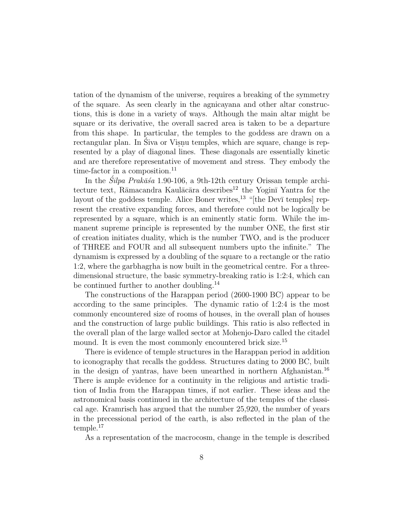tation of the dynamism of the universe, requires a breaking of the symmetry of the square. As seen clearly in the agnicayana and other altar constructions, this is done in a variety of ways. Although the main altar might be square or its derivative, the overall sacred area is taken to be a departure from this shape. In particular, the temples to the goddess are drawn on a rectangular plan. In Siva or Visnu temples, which are square, change is represented by a play of diagonal lines. These diagonals are essentially kinetic and are therefore representative of movement and stress. They embody the time-factor in a composition.<sup>11</sup>

In the  $\hat{S}ilpa$  Prak $\bar{a}\hat{s}a$  1.90-106, a 9th-12th century Orissan temple architecture text, Rāmacandra Kaulācāra describes<sup>12</sup> the Yoginī Yantra for the layout of the goddess temple. Alice Boner writes,<sup>13</sup> "[the Devī temples] represent the creative expanding forces, and therefore could not be logically be represented by a square, which is an eminently static form. While the immanent supreme principle is represented by the number ONE, the first stir of creation initiates duality, which is the number TWO, and is the producer of THREE and FOUR and all subsequent numbers upto the infinite." The dynamism is expressed by a doubling of the square to a rectangle or the ratio 1:2, where the garbhagrha is now built in the geometrical centre. For a threedimensional structure, the basic symmetry-breaking ratio is 1:2:4, which can be continued further to another doubling.<sup>14</sup>

The constructions of the Harappan period (2600-1900 BC) appear to be according to the same principles. The dynamic ratio of 1:2:4 is the most commonly encountered size of rooms of houses, in the overall plan of houses and the construction of large public buildings. This ratio is also reflected in the overall plan of the large walled sector at Mohenjo-Daro called the citadel mound. It is even the most commonly encountered brick size.<sup>15</sup>

There is evidence of temple structures in the Harappan period in addition to iconography that recalls the goddess. Structures dating to 2000 BC, built in the design of yantras, have been unearthed in northern Afghanistan.<sup>16</sup> There is ample evidence for a continuity in the religious and artistic tradition of India from the Harappan times, if not earlier. These ideas and the astronomical basis continued in the architecture of the temples of the classical age. Kramrisch has argued that the number 25,920, the number of years in the precessional period of the earth, is also reflected in the plan of the temple.<sup>17</sup>

As a representation of the macrocosm, change in the temple is described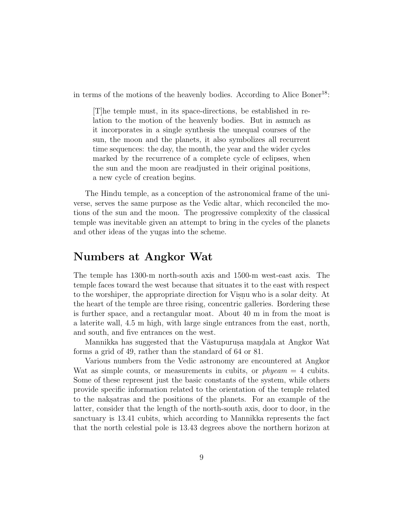in terms of the motions of the heavenly bodies. According to Alice Boner<sup>18</sup>:

[T]he temple must, in its space-directions, be established in relation to the motion of the heavenly bodies. But in asmuch as it incorporates in a single synthesis the unequal courses of the sun, the moon and the planets, it also symbolizes all recurrent time sequences: the day, the month, the year and the wider cycles marked by the recurrence of a complete cycle of eclipses, when the sun and the moon are readjusted in their original positions, a new cycle of creation begins.

The Hindu temple, as a conception of the astronomical frame of the universe, serves the same purpose as the Vedic altar, which reconciled the motions of the sun and the moon. The progressive complexity of the classical temple was inevitable given an attempt to bring in the cycles of the planets and other ideas of the yugas into the scheme.

#### **Numbers at Angkor Wat**

The temple has 1300-m north-south axis and 1500-m west-east axis. The temple faces toward the west because that situates it to the east with respect to the worshiper, the appropriate direction for Visnu who is a solar deity. At the heart of the temple are three rising, concentric galleries. Bordering these is further space, and a rectangular moat. About 40 m in from the moat is a laterite wall, 4.5 m high, with large single entrances from the east, north, and south, and five entrances on the west.

Mannikka has suggested that the Vāstupurusa mandala at Angkor Wat forms a grid of 49, rather than the standard of 64 or 81.

Various numbers from the Vedic astronomy are encountered at Angkor Wat as simple counts, or measurements in cubits, or  $phyeam = 4$  cubits. Some of these represent just the basic constants of the system, while others provide specific information related to the orientation of the temple related to the naks.atras and the positions of the planets. For an example of the latter, consider that the length of the north-south axis, door to door, in the sanctuary is 13.41 cubits, which according to Mannikka represents the fact that the north celestial pole is 13.43 degrees above the northern horizon at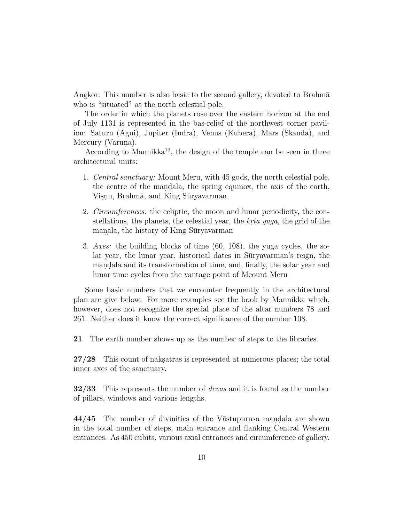Angkor. This number is also basic to the second gallery, devoted to Brahma who is "situated" at the north celestial pole.

The order in which the planets rose over the eastern horizon at the end of July 1131 is represented in the bas-relief of the northwest corner pavilion: Saturn (Agni), Jupiter (Indra), Venus (Kubera), Mars (Skanda), and Mercury (Varuna).

According to Mannikka<sup>19</sup>, the design of the temple can be seen in three architectural units:

- 1. Central sanctuary: Mount Meru, with 45 gods, the north celestial pole, the centre of the mandala, the spring equinox, the axis of the earth, Visnu, Brahmā, and King Sūryavarman
- 2. Circumferences: the ecliptic, the moon and lunar periodicity, the constellations, the planets, the celestial year, the *krta yuga*, the grid of the manala, the history of King Sūryavarman
- 3. Axes: the building blocks of time (60, 108), the yuga cycles, the solar year, the lunar year, historical dates in Sūryavarman's reign, the mandala and its transformation of time, and, finally, the solar year and lunar time cycles from the vantage point of Meount Meru

Some basic numbers that we encounter frequently in the architectural plan are give below. For more examples see the book by Mannikka which, however, does not recognize the special place of the altar numbers 78 and 261. Neither does it know the correct significance of the number 108.

**21** The earth number shows up as the number of steps to the libraries.

**27/28** This count of naksatras is represented at numerous places; the total inner axes of the sanctuary.

**32/33** This represents the number of devas and it is found as the number of pillars, windows and various lengths.

**44/45** The number of divinities of the Vastupurus a mandala are shown in the total number of steps, main entrance and flanking Central Western entrances. As 450 cubits, various axial entrances and circumference of gallery.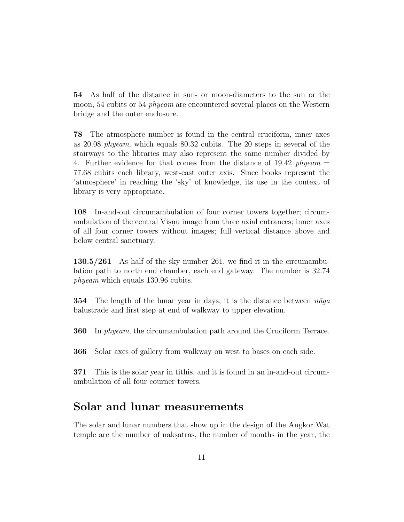**54** As half of the distance in sun- or moon-diameters to the sun or the moon, 54 cubits or 54 *phyeam* are encountered several places on the Western bridge and the outer enclosure.

**78** The atmosphere number is found in the central cruciform, inner axes as 20.08 phyeam, which equals 80.32 cubits. The 20 steps in several of the stairways to the libraries may also represent the same number divided by 4. Further evidence for that comes from the distance of 19.42  $phyeam =$ 77.68 cubits each library, west-east outer axis. Since books represent the 'atmosphere' in reaching the 'sky' of knowledge, its use in the context of library is very appropriate.

**108** In-and-out circumambulation of four corner towers together; circumambulation of the central Visnu image from three axial entrances; inner axes of all four corner towers without images; full vertical distance above and below central sanctuary.

**130.5/261** As half of the sky number 261, we find it in the circumambulation path to north end chamber, each end gateway. The number is 32.74 phyeam which equals 130.96 cubits.

**354** The length of the lunar year in days, it is the distance between  $n\bar{a}ga$ balustrade and first step at end of walkway to upper elevation.

**360** In phyeam, the circumambulation path around the Cruciform Terrace.

**366** Solar axes of gallery from walkway on west to bases on each side.

**371** This is the solar year in tithis, and it is found in an in-and-out circumambulation of all four courner towers.

### **Solar and lunar measurements**

The solar and lunar numbers that show up in the design of the Angkor Wat temple are the number of naksatras, the number of months in the year, the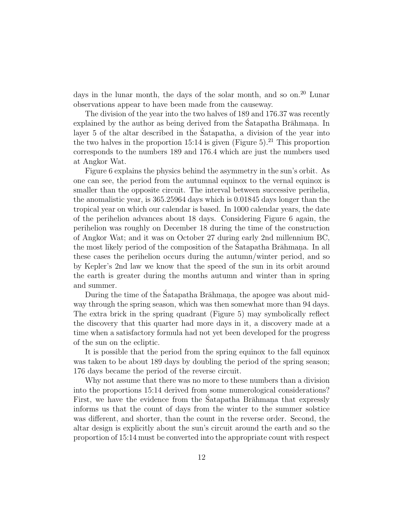days in the lunar month, the days of the solar month, and so on.<sup>20</sup> Lunar observations appear to have been made from the causeway.

The division of the year into the two halves of 189 and 176.37 was recently explained by the author as being derived from the Satapatha Brahmana. In layer 5 of the altar described in the Satapatha, a division of the year into the two halves in the proportion 15:14 is given (Figure 5).<sup>21</sup> This proportion corresponds to the numbers 189 and 176.4 which are just the numbers used at Angkor Wat.

Figure 6 explains the physics behind the asymmetry in the sun's orbit. As one can see, the period from the autumnal equinox to the vernal equinox is smaller than the opposite circuit. The interval between successive perihelia, the anomalistic year, is 365.25964 days which is 0.01845 days longer than the tropical year on which our calendar is based. In 1000 calendar years, the date of the perihelion advances about 18 days. Considering Figure 6 again, the perihelion was roughly on December 18 during the time of the construction of Angkor Wat; and it was on October 27 during early 2nd millennium BC, the most likely period of the composition of the Satapatha Brāhman. In all these cases the perihelion occurs during the autumn/winter period, and so by Kepler's 2nd law we know that the speed of the sun in its orbit around the earth is greater during the months autumn and winter than in spring and summer.

During the time of the Satapatha Brahmana, the apogee was about midway through the spring season, which was then somewhat more than 94 days. The extra brick in the spring quadrant (Figure 5) may symbolically reflect the discovery that this quarter had more days in it, a discovery made at a time when a satisfactory formula had not yet been developed for the progress of the sun on the ecliptic.

It is possible that the period from the spring equinox to the fall equinox was taken to be about 189 days by doubling the period of the spring season; 176 days became the period of the reverse circuit.

Why not assume that there was no more to these numbers than a division into the proportions 15:14 derived from some numerological considerations? First, we have the evidence from the Satapatha Brahmana that expressly informs us that the count of days from the winter to the summer solstice was different, and shorter, than the count in the reverse order. Second, the altar design is explicitly about the sun's circuit around the earth and so the proportion of 15:14 must be converted into the appropriate count with respect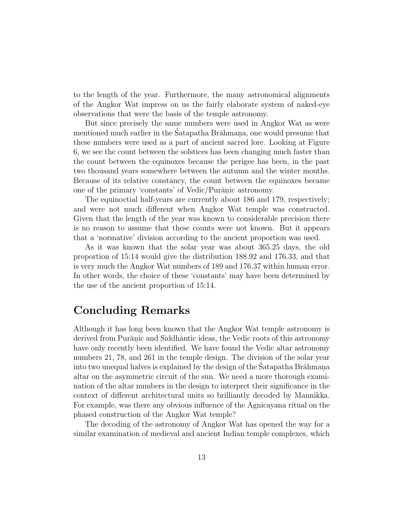to the length of the year. Furthermore, the many astronomical alignments of the Angkor Wat impress on us the fairly elaborate system of naked-eye observations that were the basis of the temple astronomy.

But since precisely the same numbers were used in Angkor Wat as were mentioned much earlier in the Satapatha Brāhmana, one would presume that these numbers were used as a part of ancient sacred lore. Looking at Figure 6, we see the count between the solstices has been changing much faster than the count between the equinoxes because the perigee has been, in the past two thousand years somewhere between the autumn and the winter months. Because of its relative constancy, the count between the equinoxes became one of the primary 'constants' of Vedic/Purānic astronomy.

The equinoctial half-years are currently about 186 and 179, respectively; and were not much different when Angkor Wat temple was constructed. Given that the length of the year was known to considerable precision there is no reason to assume that these counts were not known. But it appears that a 'normative' division according to the ancient proportion was used.

As it was known that the solar year was about 365.25 days, the old proportion of 15:14 would give the distribution 188.92 and 176.33, and that is very much the Angkor Wat numbers of 189 and 176.37 within human error. In other words, the choice of these 'constants' may have been determined by the use of the ancient proportion of 15:14.

### **Concluding Remarks**

Although it has long been known that the Angkor Wat temple astronomy is derived from Purānic and Siddhāntic ideas, the Vedic roots of this astronomy have only recently been identified. We have found the Vedic altar astronomy numbers 21, 78, and 261 in the temple design. The division of the solar year into two unequal halves is explained by the design of the Satapatha Brāhmana. altar on the asymmetric circuit of the sun. We need a more thorough examination of the altar numbers in the design to interpret their significance in the context of different architectural units so brilliantly decoded by Mannikka. For example, was there any obvious influence of the Agnicayana ritual on the phased construction of the Angkor Wat temple?

The decoding of the astronomy of Angkor Wat has opened the way for a similar examination of medieval and ancient Indian temple complexes, which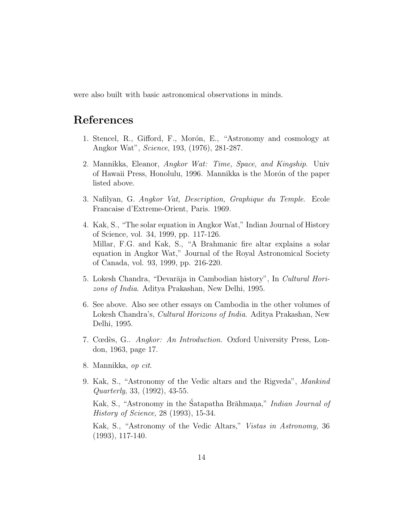were also built with basic astronomical observations in minds.

## **References**

- 1. Stencel, R., Gifford, F., Morón, E., "Astronomy and cosmology at Angkor Wat", Science, 193, (1976), 281-287.
- 2. Mannikka, Eleanor, Angkor Wat: Time, Space, and Kingship. Univ of Hawaii Press, Honolulu, 1996. Mannikka is the Morón of the paper listed above.
- 3. Nafilyan, G. Angkor Vat, Description, Graphique du Temple. Ecole Francaise d'Extreme-Orient, Paris. 1969.
- 4. Kak, S., "The solar equation in Angkor Wat," Indian Journal of History of Science, vol. 34, 1999, pp. 117-126. Millar, F.G. and Kak, S., "A Brahmanic fire altar explains a solar equation in Angkor Wat," Journal of the Royal Astronomical Society of Canada, vol. 93, 1999, pp. 216-220.
- 5. Lokesh Chandra, "Devarāja in Cambodian history", In Cultural Horizons of India. Aditya Prakashan, New Delhi, 1995.
- 6. See above. Also see other essays on Cambodia in the other volumes of Lokesh Chandra's, Cultural Horizons of India. Aditya Prakashan, New Delhi, 1995.
- 7. Cœdès, G.. Angkor: An Introduction. Oxford University Press, London, 1963, page 17.
- 8. Mannikka, op cit.
- 9. Kak, S., "Astronomy of the Vedic altars and the Rigveda", Mankind Quarterly, 33, (1992), 43-55.

Kak, S., "Astronomy in the Satapatha Brāhmana," *Indian Journal of* History of Science, 28 (1993), 15-34.

Kak, S., "Astronomy of the Vedic Altars," Vistas in Astronomy, 36 (1993), 117-140.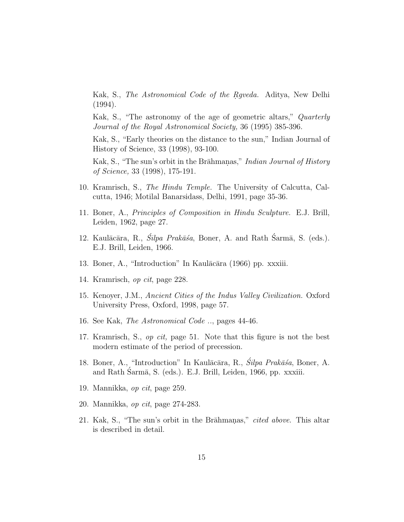Kak, S., The Astronomical Code of the Rgveda. Aditya, New Delhi (1994).

Kak, S., "The astronomy of the age of geometric altars," Quarterly Journal of the Royal Astronomical Society, 36 (1995) 385-396.

Kak, S., "Early theories on the distance to the sun," Indian Journal of History of Science, 33 (1998), 93-100.

Kak, S., "The sun's orbit in the Brāhmanas," *Indian Journal of History* of Science, 33 (1998), 175-191.

- 10. Kramrisch, S., The Hindu Temple. The University of Calcutta, Calcutta, 1946; Motilal Banarsidass, Delhi, 1991, page 35-36.
- 11. Boner, A., Principles of Composition in Hindu Sculpture. E.J. Brill, Leiden, 1962, page 27.
- 12. Kaulācāra, R.,  $\tilde{S}ilpa$  Prakāsa, Boner, A. and Rath Sarmā, S. (eds.). E.J. Brill, Leiden, 1966.
- 13. Boner, A., "Introduction" In Kaulācāra (1966) pp. xxxiii.
- 14. Kramrisch, op cit, page 228.
- 15. Kenoyer, J.M., Ancient Cities of the Indus Valley Civilization. Oxford University Press, Oxford, 1998, page 57.
- 16. See Kak, The Astronomical Code .., pages 44-46.
- 17. Kramrisch, S., op cit, page 51. Note that this figure is not the best modern estimate of the period of precession.
- 18. Boner, A., "Introduction" In Kaulācāra, R., *Śilpa Prakāśa*, Boner, A. and Rath Šarmā, S. (eds.). E.J. Brill, Leiden, 1966, pp. xxxiii.
- 19. Mannikka, op cit, page 259.
- 20. Mannikka, op cit, page 274-283.
- 21. Kak, S., "The sun's orbit in the Brahmanas," cited above. This altar is described in detail.